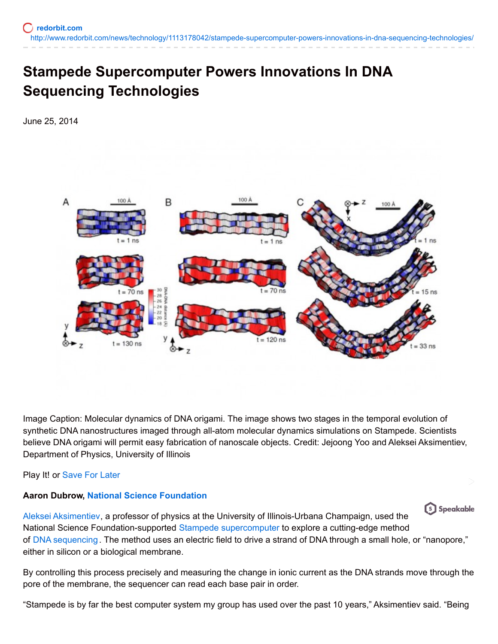## **Stampede Supercomputer Powers Innovations In DNA Sequencing Technologies**

June 25, 2014



Image Caption: Molecular dynamics of DNA origami. The image shows two stages in the temporal evolution of synthetic DNA nanostructures imaged through all-atom molecular dynamics simulations on Stampede. Scientists believe DNA origami will permit easy fabrication of nanoscale objects. Credit: Jejoong Yoo and Aleksei Aksimentiev, Department of Physics, University of Illinois

Play It! or [Save](http://www.redorbit.com/news/technology/1113178042/stampede-supercomputer-powers-innovations-in-dna-sequencing-technologies/) For Later

## **Aaron Dubrow, National Science [Foundation](http://www.nsf.gov/discoveries/disc_summ.jsp?cntn_id=131800&WT.mc_id=USNSF_51&WT.mc_ev=click)**

[s] Speakable Aleksei [Aksimentiev](http://physics.illinois.edu/people/profile.asp?aksiment), a professor of physics at the University of Illinois-Urbana Champaign, used the National Science Foundation-supported Stampede [supercomputer](http://www.redorbit.com/images/pic/81059/stampede3/) to explore a cutting-edge method of DNA [sequencing](http://www.redorbit.com/topics/dna-sequencing/) . The method uses an electric field to drive a strand of DNA through a small hole, or "nanopore," either in silicon or a biological membrane.

By controlling this process precisely and measuring the change in ionic current as the DNA strands move through the pore of the membrane, the sequencer can read each base pair in order.

"Stampede is by far the best computer system my group has used over the past 10 years," Aksimentiev said. "Being